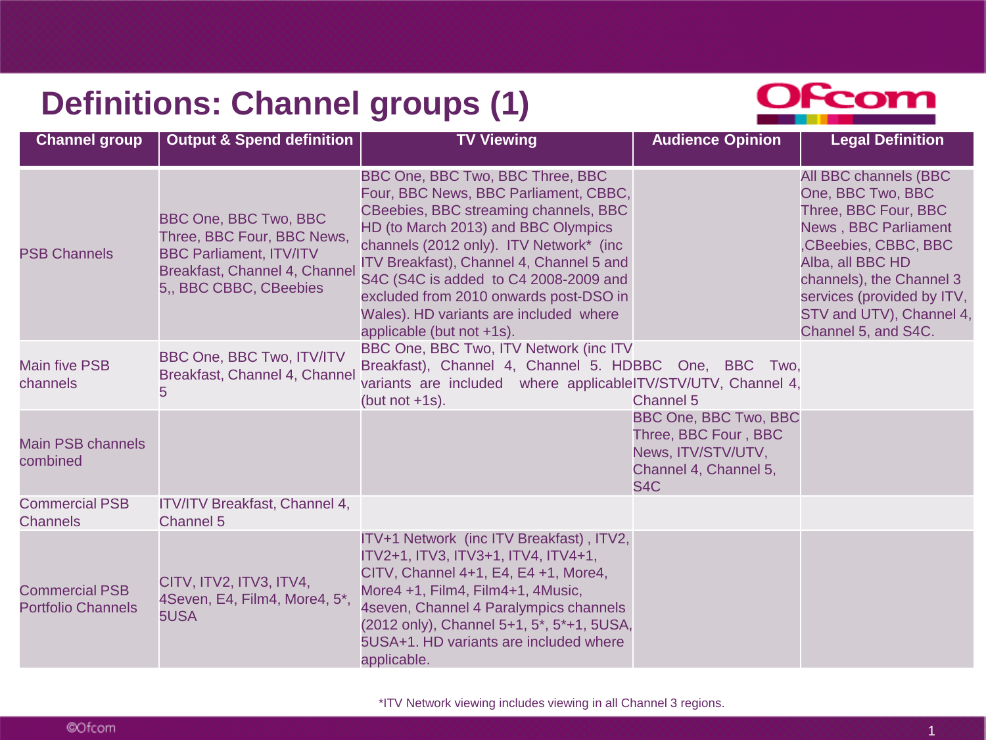## **Definitions: Channel groups (1)**



| <b>Channel group</b>                               | Output & Spend definition                                                                                                                       | <b>TV Viewing</b>                                                                                                                                                                                                                                                                                                                                                                                          | <b>Audience Opinion</b>                                                                                                 | <b>Legal Definition</b>                                                                                                                                                                                                                                    |
|----------------------------------------------------|-------------------------------------------------------------------------------------------------------------------------------------------------|------------------------------------------------------------------------------------------------------------------------------------------------------------------------------------------------------------------------------------------------------------------------------------------------------------------------------------------------------------------------------------------------------------|-------------------------------------------------------------------------------------------------------------------------|------------------------------------------------------------------------------------------------------------------------------------------------------------------------------------------------------------------------------------------------------------|
| <b>PSB Channels</b>                                | BBC One, BBC Two, BBC<br>Three, BBC Four, BBC News,<br><b>BBC Parliament, ITV/ITV</b><br>Breakfast, Channel 4, Channe<br>5,, BBC CBBC, CBeebies | BBC One, BBC Two, BBC Three, BBC<br>Four, BBC News, BBC Parliament, CBBC,<br>CBeebies, BBC streaming channels, BBC<br>HD (to March 2013) and BBC Olympics<br>channels (2012 only). ITV Network* (inc<br>ITV Breakfast), Channel 4, Channel 5 and<br>S4C (S4C is added to C4 2008-2009 and<br>excluded from 2010 onwards post-DSO in<br>Wales). HD variants are included where<br>applicable (but not +1s). |                                                                                                                         | All BBC channels (BBC<br>One, BBC Two, BBC<br>Three, BBC Four, BBC<br><b>News, BBC Parliament</b><br>,CBeebies, CBBC, BBC<br>Alba, all BBC HD<br>channels), the Channel 3<br>services (provided by ITV,<br>STV and UTV), Channel 4,<br>Channel 5, and S4C. |
| <b>Main five PSB</b><br>channels                   | BBC One, BBC Two, ITV/ITV<br>Breakfast, Channel 4, Channel<br>5                                                                                 | BBC One, BBC Two, ITV Network (inc ITV<br>Breakfast), Channel 4, Channel 5. HDBBC One, BBC Two,<br>variants are included where applicableITV/STV/UTV, Channel 4,<br>(but not $+1$ s).                                                                                                                                                                                                                      | <b>Channel 5</b>                                                                                                        |                                                                                                                                                                                                                                                            |
| <b>Main PSB channels</b><br>combined               |                                                                                                                                                 |                                                                                                                                                                                                                                                                                                                                                                                                            | <b>BBC One, BBC Two, BBC</b><br>Three, BBC Four, BBC<br>News, ITV/STV/UTV,<br>Channel 4, Channel 5,<br>S <sub>4</sub> C |                                                                                                                                                                                                                                                            |
| <b>Commercial PSB</b><br><b>Channels</b>           | ITV/ITV Breakfast, Channel 4,<br><b>Channel 5</b>                                                                                               |                                                                                                                                                                                                                                                                                                                                                                                                            |                                                                                                                         |                                                                                                                                                                                                                                                            |
| <b>Commercial PSB</b><br><b>Portfolio Channels</b> | CITV, ITV2, ITV3, ITV4,<br>4Seven, E4, Film4, More4, 5*<br>5USA                                                                                 | ITV+1 Network (inc ITV Breakfast), ITV2,<br>ITV2+1, ITV3, ITV3+1, ITV4, ITV4+1,<br>CITV, Channel 4+1, E4, E4 +1, More4,<br>More4 +1, Film4, Film4+1, 4Music,<br>4seven, Channel 4 Paralympics channels<br>(2012 only), Channel 5+1, 5*, 5*+1, 5USA,<br>5USA+1. HD variants are included where<br>applicable.                                                                                               |                                                                                                                         |                                                                                                                                                                                                                                                            |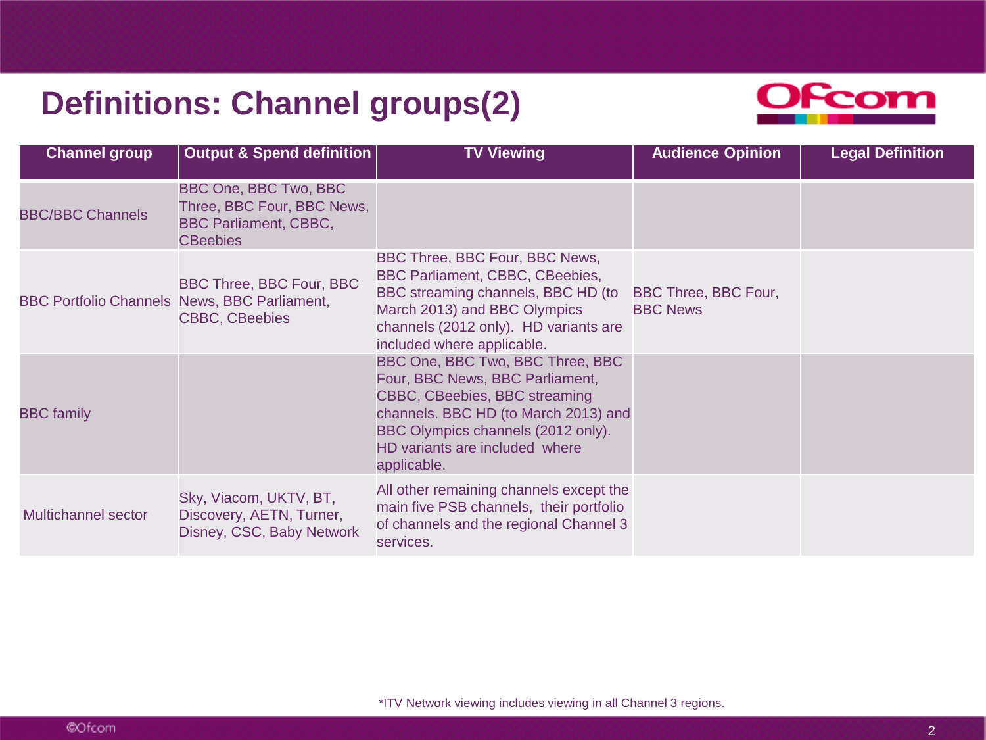### **Definitions: Channel groups(2)**



| <b>Channel group</b>                                | <b>Output &amp; Spend definition</b>                                                                          | <b>TV Viewing</b>                                                                                                                                                                                                                   | <b>Audience Opinion</b>                 | <b>Legal Definition</b> |
|-----------------------------------------------------|---------------------------------------------------------------------------------------------------------------|-------------------------------------------------------------------------------------------------------------------------------------------------------------------------------------------------------------------------------------|-----------------------------------------|-------------------------|
| <b>BBC/BBC Channels</b>                             | <b>BBC One, BBC Two, BBC</b><br>Three, BBC Four, BBC News,<br><b>BBC Parliament, CBBC,</b><br><b>CBeebies</b> |                                                                                                                                                                                                                                     |                                         |                         |
| <b>BBC Portfolio Channels News, BBC Parliament,</b> | <b>BBC Three, BBC Four, BBC</b><br><b>CBBC, CBeebies</b>                                                      | BBC Three, BBC Four, BBC News,<br><b>BBC Parliament, CBBC, CBeebies,</b><br>BBC streaming channels, BBC HD (to<br>March 2013) and BBC Olympics<br>channels (2012 only). HD variants are<br>included where applicable.               | BBC Three, BBC Four,<br><b>BBC News</b> |                         |
| <b>BBC</b> family                                   |                                                                                                               | BBC One, BBC Two, BBC Three, BBC<br>Four, BBC News, BBC Parliament,<br>CBBC, CBeebies, BBC streaming<br>channels. BBC HD (to March 2013) and<br>BBC Olympics channels (2012 only).<br>HD variants are included where<br>applicable. |                                         |                         |
| Multichannel sector                                 | Sky, Viacom, UKTV, BT,<br>Discovery, AETN, Turner,<br>Disney, CSC, Baby Network                               | All other remaining channels except the<br>main five PSB channels, their portfolio<br>of channels and the regional Channel 3<br>services.                                                                                           |                                         |                         |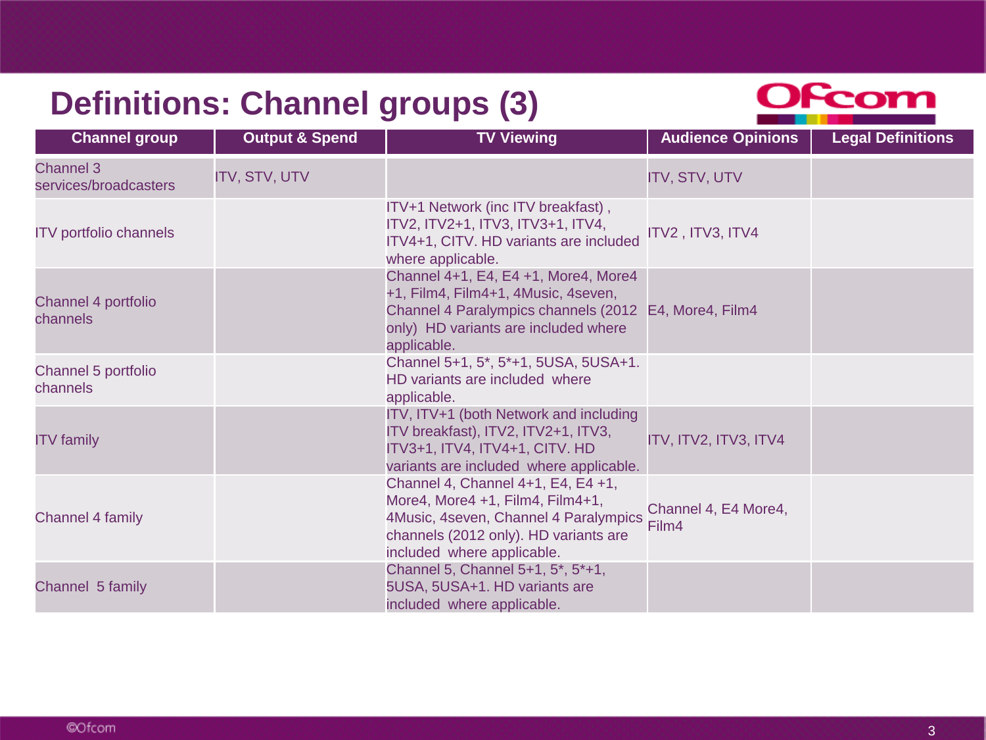# **Definitions: Channel groups (3)**



| <b>Channel group</b>                      | <b>Output &amp; Spend</b> | <b>TV Viewing</b>                                                                                                                                                                           | <b>Audience Opinions</b>      | <b>Legal Definitions</b> |
|-------------------------------------------|---------------------------|---------------------------------------------------------------------------------------------------------------------------------------------------------------------------------------------|-------------------------------|--------------------------|
| <b>Channel 3</b><br>services/broadcasters | <b>ITV, STV, UTV</b>      |                                                                                                                                                                                             | <b>ITV, STV, UTV</b>          |                          |
| <b>ITV</b> portfolio channels             |                           | ITV+1 Network (inc ITV breakfast),<br>ITV2, ITV2+1, ITV3, ITV3+1, ITV4,<br>ITV4+1, CITV. HD variants are included<br>where applicable.                                                      | ITV2, ITV3, ITV4              |                          |
| Channel 4 portfolio<br>channels           |                           | Channel 4+1, E4, E4 +1, More4, More4<br>+1, Film4, Film4+1, 4Music, 4seven,<br>Channel 4 Paralympics channels (2012 E4, More4, Film4<br>only) HD variants are included where<br>applicable. |                               |                          |
| Channel 5 portfolio<br>channels           |                           | Channel 5+1, 5 <sup>*</sup> , 5 <sup>*</sup> +1, 5USA, 5USA+1.<br>HD variants are included where<br>applicable.                                                                             |                               |                          |
| <b>ITV</b> family                         |                           | ITV, ITV+1 (both Network and including<br>ITV breakfast), ITV2, ITV2+1, ITV3,<br>ITV3+1, ITV4, ITV4+1, CITV. HD<br>variants are included where applicable.                                  | ITV, ITV2, ITV3, ITV4         |                          |
| <b>Channel 4 family</b>                   |                           | Channel 4, Channel 4+1, E4, E4 +1,<br>More4, More4 +1, Film4, Film4+1,<br>4Music, 4seven, Channel 4 Paralympics<br>channels (2012 only). HD variants are<br>included where applicable.      | Channel 4, E4 More4,<br>Film4 |                          |
| Channel 5 family                          |                           | Channel 5, Channel 5+1, 5*, 5*+1,<br>5USA, 5USA+1. HD variants are<br>included where applicable.                                                                                            |                               |                          |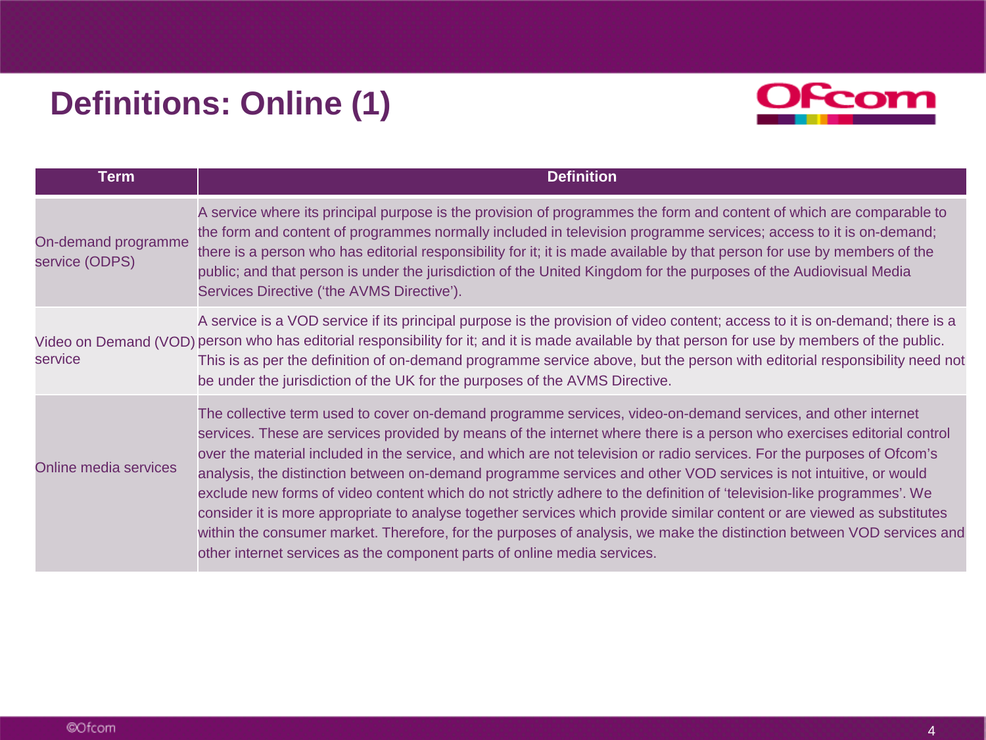# **Definitions: Online (1)**



| <b>Term</b>                           | <b>Definition</b>                                                                                                                                                                                                                                                                                                                                                                                                                                                                                                                                                                                                                                                                                                                                                                                                                                                                                                                             |
|---------------------------------------|-----------------------------------------------------------------------------------------------------------------------------------------------------------------------------------------------------------------------------------------------------------------------------------------------------------------------------------------------------------------------------------------------------------------------------------------------------------------------------------------------------------------------------------------------------------------------------------------------------------------------------------------------------------------------------------------------------------------------------------------------------------------------------------------------------------------------------------------------------------------------------------------------------------------------------------------------|
| On-demand programme<br>service (ODPS) | A service where its principal purpose is the provision of programmes the form and content of which are comparable to<br>the form and content of programmes normally included in television programme services; access to it is on-demand;<br>there is a person who has editorial responsibility for it; it is made available by that person for use by members of the<br>public; and that person is under the jurisdiction of the United Kingdom for the purposes of the Audiovisual Media<br>Services Directive ('the AVMS Directive').                                                                                                                                                                                                                                                                                                                                                                                                      |
| service                               | A service is a VOD service if its principal purpose is the provision of video content; access to it is on-demand; there is a<br>Video on Demand (VOD) person who has editorial responsibility for it; and it is made available by that person for use by members of the public.<br>This is as per the definition of on-demand programme service above, but the person with editorial responsibility need not<br>be under the jurisdiction of the UK for the purposes of the AVMS Directive.                                                                                                                                                                                                                                                                                                                                                                                                                                                   |
| <b>Online media services</b>          | The collective term used to cover on-demand programme services, video-on-demand services, and other internet<br>services. These are services provided by means of the internet where there is a person who exercises editorial control<br>over the material included in the service, and which are not television or radio services. For the purposes of Ofcom's<br>analysis, the distinction between on-demand programme services and other VOD services is not intuitive, or would<br>exclude new forms of video content which do not strictly adhere to the definition of 'television-like programmes'. We<br>consider it is more appropriate to analyse together services which provide similar content or are viewed as substitutes<br>within the consumer market. Therefore, for the purposes of analysis, we make the distinction between VOD services and<br>other internet services as the component parts of online media services. |